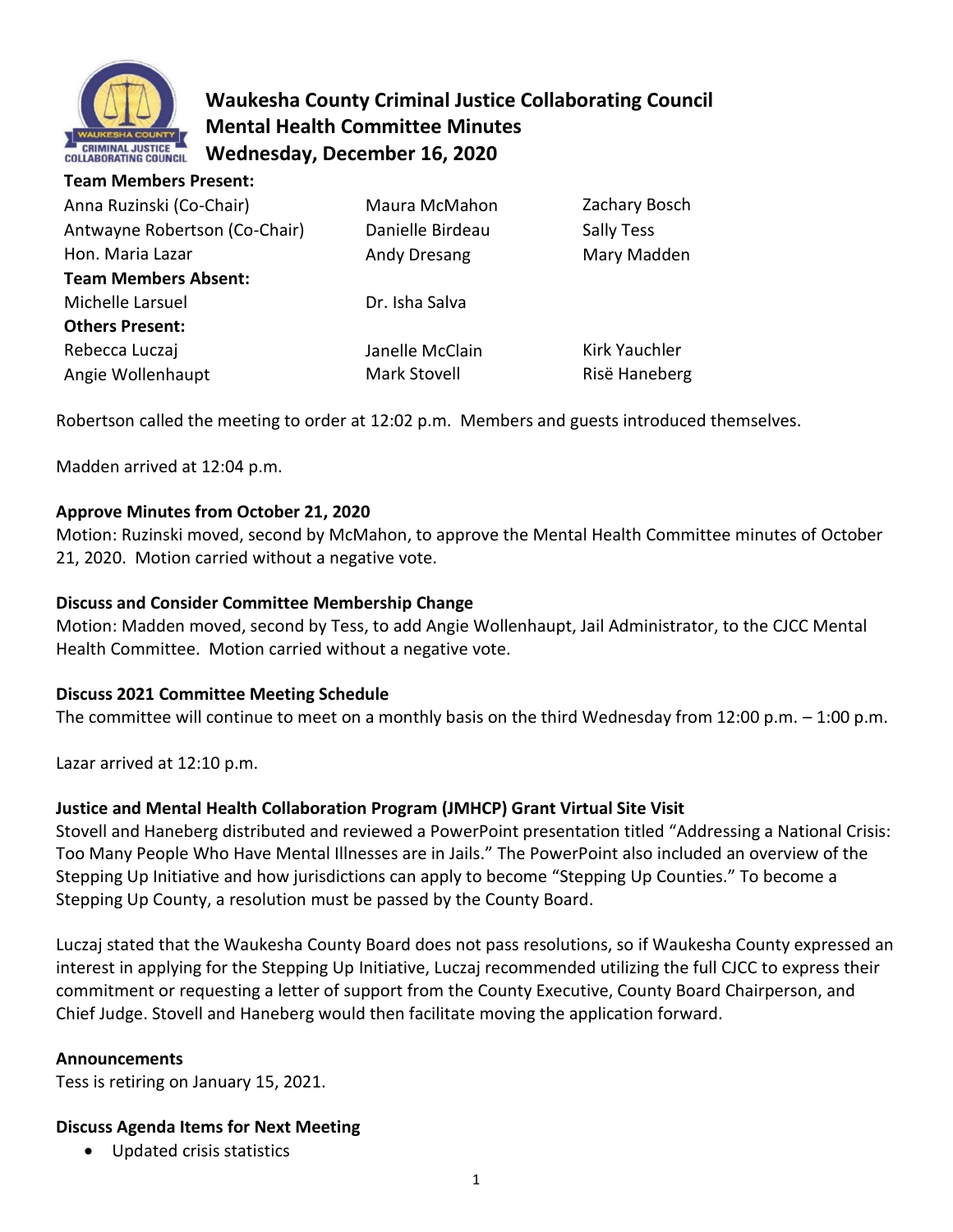

**Team Members Present:** 

# **Waukesha County Criminal Justice Collaborating Council Mental Health Committee Minutes Wednesday, December 16, 2020**

| Anna Ruzinski (Co-Chair)<br>Antwayne Robertson (Co-Chair) | Maura McMahon<br>Danielle Birdeau | Zachary Bosch<br>Sally Tess |
|-----------------------------------------------------------|-----------------------------------|-----------------------------|
| Hon. Maria Lazar                                          | <b>Andy Dresang</b>               | Mary Madden                 |
| <b>Team Members Absent:</b>                               |                                   |                             |
| Michelle Larsuel                                          | Dr. Isha Salva                    |                             |
| <b>Others Present:</b>                                    |                                   |                             |
| Rebecca Luczaj                                            | Janelle McClain                   | Kirk Yauchler               |
| Angie Wollenhaupt                                         | Mark Stovell                      | Risë Haneberg               |

Robertson called the meeting to order at 12:02 p.m. Members and guests introduced themselves.

Madden arrived at 12:04 p.m.

### **Approve Minutes from October 21, 2020**

Motion: Ruzinski moved, second by McMahon, to approve the Mental Health Committee minutes of October 21, 2020. Motion carried without a negative vote.

#### **Discuss and Consider Committee Membership Change**

Motion: Madden moved, second by Tess, to add Angie Wollenhaupt, Jail Administrator, to the CJCC Mental Health Committee. Motion carried without a negative vote.

#### **Discuss 2021 Committee Meeting Schedule**

The committee will continue to meet on a monthly basis on the third Wednesday from 12:00 p.m. – 1:00 p.m.

Lazar arrived at 12:10 p.m.

#### **Justice and Mental Health Collaboration Program (JMHCP) Grant Virtual Site Visit**

Stovell and Haneberg distributed and reviewed a PowerPoint presentation titled "Addressing a National Crisis: Too Many People Who Have Mental Illnesses are in Jails." The PowerPoint also included an overview of the Stepping Up Initiative and how jurisdictions can apply to become "Stepping Up Counties." To become a Stepping Up County, a resolution must be passed by the County Board.

Luczaj stated that the Waukesha County Board does not pass resolutions, so if Waukesha County expressed an interest in applying for the Stepping Up Initiative, Luczaj recommended utilizing the full CJCC to express their commitment or requesting a letter of support from the County Executive, County Board Chairperson, and Chief Judge. Stovell and Haneberg would then facilitate moving the application forward.

#### **Announcements**

Tess is retiring on January 15, 2021.

#### **Discuss Agenda Items for Next Meeting**

• Updated crisis statistics